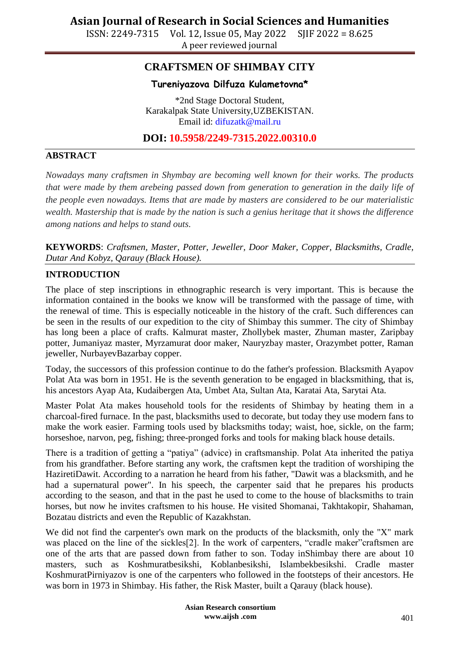ISSN: 2249-7315 Vol. 12, Issue 05, May 2022 SJIF 2022 = 8.625 A peer reviewed journal

### **CRAFTSMEN OF SHIMBAY CITY**

#### **Tureniyazova Dilfuza Kulametovna\***

\*2nd Stage Doctoral Student, Karakalpak State University,UZBEKISTAN. Email id: [difuzatk@mail.ru](mailto:difuzatk@mail.ru)

### **DOI: 10.5958/2249-7315.2022.00310.0**

#### **ABSTRACT**

*Nowadays many craftsmen in Shymbay are becoming well known for their works. The products that were made by them arebeing passed down from generation to generation in the daily life of the people even nowadays. Items that are made by masters are considered to be our materialistic wealth. Mastership that is made by the nation is such a genius heritage that it shows the difference among nations and helps to stand outs.*

**KEYWORDS**: *Craftsmen, Master, Potter, Jeweller, Door Maker, Copper, Blacksmiths, Cradle, Dutar And Kobyz, Qarauy (Black House).*

#### **INTRODUCTION**

The place of step inscriptions in ethnographic research is very important. This is because the information contained in the books we know will be transformed with the passage of time, with the renewal of time. This is especially noticeable in the history of the craft. Such differences can be seen in the results of our expedition to the city of Shimbay this summer. The city of Shimbay has long been a place of crafts. Kalmurat master, Zhollybek master, Zhuman master, Zaripbay potter, Jumaniyaz master, Myrzamurat door maker, Nauryzbay master, Orazymbet potter, Raman jeweller, NurbayevBazarbay copper.

Today, the successors of this profession continue to do the father's profession. Blacksmith Ayapov Polat Ata was born in 1951. He is the seventh generation to be engaged in blacksmithing, that is, his ancestors Ayap Ata, Kudaibergen Ata, Umbet Ata, Sultan Ata, Karatai Ata, Sarytai Ata.

Master Polat Ata makes household tools for the residents of Shimbay by heating them in a charcoal-fired furnace. In the past, blacksmiths used to decorate, but today they use modern fans to make the work easier. Farming tools used by blacksmiths today; waist, hoe, sickle, on the farm; horseshoe, narvon, peg, fishing; three-pronged forks and tools for making black house details.

There is a tradition of getting a "patiya" (advice) in craftsmanship. Polat Ata inherited the patiya from his grandfather. Before starting any work, the craftsmen kept the tradition of worshiping the HaziretiDawit. According to a narration he heard from his father, "Dawit was a blacksmith, and he had a supernatural power". In his speech, the carpenter said that he prepares his products according to the season, and that in the past he used to come to the house of blacksmiths to train horses, but now he invites craftsmen to his house. He visited Shomanai, Takhtakopir, Shahaman, Bozatau districts and even the Republic of Kazakhstan.

We did not find the carpenter's own mark on the products of the blacksmith, only the "X" mark was placed on the line of the sickles<sup>[2]</sup>. In the work of carpenters, "cradle maker" craftsmen are one of the arts that are passed down from father to son. Today inShimbay there are about 10 masters, such as Koshmuratbesikshi, Koblanbesikshi, Islambekbesikshi. Cradle master KoshmuratPirniyazov is one of the carpenters who followed in the footsteps of their ancestors. He was born in 1973 in Shimbay. His father, the Risk Master, built a Qarauy (black house).

> **Asian Research consortium www.aijsh .com**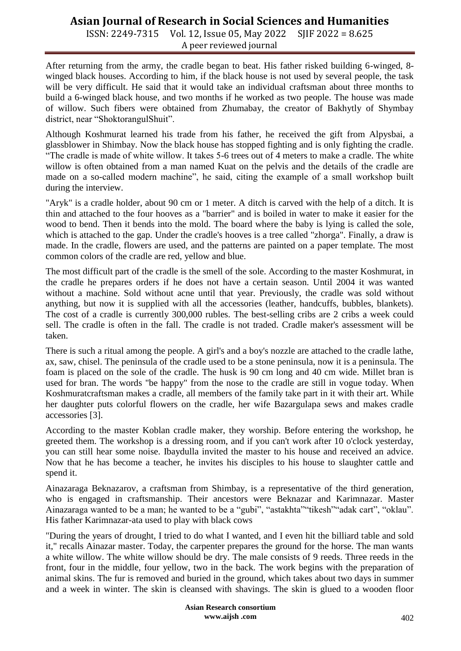ISSN: 2249-7315 Vol. 12, Issue 05, May 2022 SJIF 2022 = 8.625 A peer reviewed journal

After returning from the army, the cradle began to beat. His father risked building 6-winged, 8 winged black houses. According to him, if the black house is not used by several people, the task will be very difficult. He said that it would take an individual craftsman about three months to build a 6-winged black house, and two months if he worked as two people. The house was made of willow. Such fibers were obtained from Zhumabay, the creator of Bakhytly of Shymbay district, near "ShoktorangulShuit".

Although Koshmurat learned his trade from his father, he received the gift from Alpysbai, a glassblower in Shimbay. Now the black house has stopped fighting and is only fighting the cradle. "The cradle is made of white willow. It takes 5-6 trees out of 4 meters to make a cradle. The white willow is often obtained from a man named Kuat on the pelvis and the details of the cradle are made on a so-called modern machine", he said, citing the example of a small workshop built during the interview.

"Aryk" is a cradle holder, about 90 cm or 1 meter. A ditch is carved with the help of a ditch. It is thin and attached to the four hooves as a "barrier" and is boiled in water to make it easier for the wood to bend. Then it bends into the mold. The board where the baby is lying is called the sole, which is attached to the gap. Under the cradle's hooves is a tree called "zhorga". Finally, a draw is made. In the cradle, flowers are used, and the patterns are painted on a paper template. The most common colors of the cradle are red, yellow and blue.

The most difficult part of the cradle is the smell of the sole. According to the master Koshmurat, in the cradle he prepares orders if he does not have a certain season. Until 2004 it was wanted without a machine. Sold without acne until that year. Previously, the cradle was sold without anything, but now it is supplied with all the accessories (leather, handcuffs, bubbles, blankets). The cost of a cradle is currently 300,000 rubles. The best-selling cribs are 2 cribs a week could sell. The cradle is often in the fall. The cradle is not traded. Cradle maker's assessment will be taken.

There is such a ritual among the people. A girl's and a boy's nozzle are attached to the cradle lathe, ax, saw, chisel. The peninsula of the cradle used to be a stone peninsula, now it is a peninsula. The foam is placed on the sole of the cradle. The husk is 90 cm long and 40 cm wide. Millet bran is used for bran. The words "be happy" from the nose to the cradle are still in vogue today. When Koshmuratcraftsman makes a cradle, all members of the family take part in it with their art. While her daughter puts colorful flowers on the cradle, her wife Bazargulapa sews and makes cradle accessories [3].

According to the master Koblan cradle maker, they worship. Before entering the workshop, he greeted them. The workshop is a dressing room, and if you can't work after 10 o'clock yesterday, you can still hear some noise. Ibaydulla invited the master to his house and received an advice. Now that he has become a teacher, he invites his disciples to his house to slaughter cattle and spend it.

Ainazaraga Beknazarov, a craftsman from Shimbay, is a representative of the third generation, who is engaged in craftsmanship. Their ancestors were Beknazar and Karimnazar. Master Ainazaraga wanted to be a man; he wanted to be a "gubi", "astakhta" "tikesh" "adak cart", "oklau". His father Karimnazar-ata used to play with black cows

"During the years of drought, I tried to do what I wanted, and I even hit the billiard table and sold it," recalls Ainazar master. Today, the carpenter prepares the ground for the horse. The man wants a white willow. The white willow should be dry. The male consists of 9 reeds. Three reeds in the front, four in the middle, four yellow, two in the back. The work begins with the preparation of animal skins. The fur is removed and buried in the ground, which takes about two days in summer and a week in winter. The skin is cleansed with shavings. The skin is glued to a wooden floor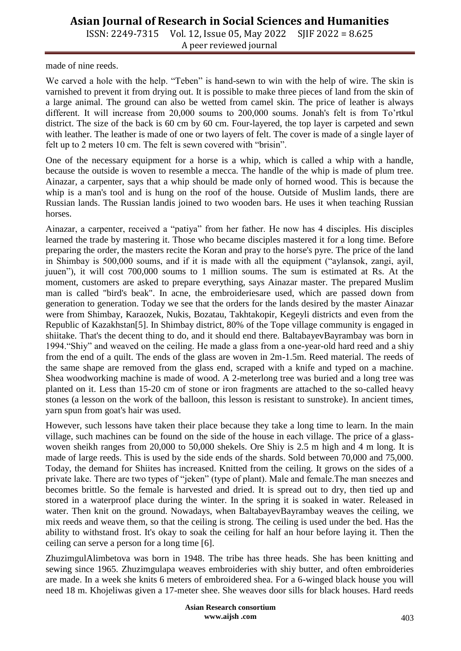ISSN: 2249-7315 Vol. 12, Issue 05, May 2022 SJIF 2022 = 8.625 A peer reviewed journal

made of nine reeds.

We carved a hole with the help. "Teben" is hand-sewn to win with the help of wire. The skin is varnished to prevent it from drying out. It is possible to make three pieces of land from the skin of a large animal. The ground can also be wetted from camel skin. The price of leather is always different. It will increase from 20,000 soums to 200,000 soums. Jonah's felt is from To'rtkul district. The size of the back is 60 cm by 60 cm. Four-layered, the top layer is carpeted and sewn with leather. The leather is made of one or two layers of felt. The cover is made of a single layer of felt up to 2 meters 10 cm. The felt is sewn covered with "brisin".

One of the necessary equipment for a horse is a whip, which is called a whip with a handle, because the outside is woven to resemble a mecca. The handle of the whip is made of plum tree. Ainazar, a carpenter, says that a whip should be made only of horned wood. This is because the whip is a man's tool and is hung on the roof of the house. Outside of Muslim lands, there are Russian lands. The Russian landis joined to two wooden bars. He uses it when teaching Russian horses.

Ainazar, a carpenter, received a "patiya" from her father. He now has 4 disciples. His disciples learned the trade by mastering it. Those who became disciples mastered it for a long time. Before preparing the order, the masters recite the Koran and pray to the horse's pyre. The price of the land in Shimbay is 500,000 soums, and if it is made with all the equipment ("aylansok, zangi, ayil, juuen"), it will cost 700,000 soums to 1 million soums. The sum is estimated at Rs. At the moment, customers are asked to prepare everything, says Ainazar master. The prepared Muslim man is called "bird's beak". In acne, the embroideriesare used, which are passed down from generation to generation. Today we see that the orders for the lands desired by the master Ainazar were from Shimbay, Karaozek, Nukis, Bozatau, Takhtakopir, Kegeyli districts and even from the Republic of Kazakhstan[5]. In Shimbay district, 80% of the Tope village community is engaged in shiitake. That's the decent thing to do, and it should end there. BaltabayevBayrambay was born in 1994."Shiy" and weaved on the ceiling. He made a glass from a one-year-old hard reed and a shiy from the end of a quilt. The ends of the glass are woven in 2m-1.5m. Reed material. The reeds of the same shape are removed from the glass end, scraped with a knife and typed on a machine. Shea woodworking machine is made of wood. A 2-meterlong tree was buried and a long tree was planted on it. Less than 15-20 cm of stone or iron fragments are attached to the so-called heavy stones (a lesson on the work of the balloon, this lesson is resistant to sunstroke). In ancient times, yarn spun from goat's hair was used.

However, such lessons have taken their place because they take a long time to learn. In the main village, such machines can be found on the side of the house in each village. The price of a glasswoven sheikh ranges from 20,000 to 50,000 shekels. Ore Shiy is 2.5 m high and 4 m long. It is made of large reeds. This is used by the side ends of the shards. Sold between 70,000 and 75,000. Today, the demand for Shiites has increased. Knitted from the ceiling. It grows on the sides of a private lake. There are two types of "jeken" (type of plant). Male and female.The man sneezes and becomes brittle. So the female is harvested and dried. It is spread out to dry, then tied up and stored in a waterproof place during the winter. In the spring it is soaked in water. Released in water. Then knit on the ground. Nowadays, when BaltabayevBayrambay weaves the ceiling, we mix reeds and weave them, so that the ceiling is strong. The ceiling is used under the bed. Has the ability to withstand frost. It's okay to soak the ceiling for half an hour before laying it. Then the ceiling can serve a person for a long time [6].

ZhuzimgulAlimbetova was born in 1948. The tribe has three heads. She has been knitting and sewing since 1965. Zhuzimgulapa weaves embroideries with shiy butter, and often embroideries are made. In a week she knits 6 meters of embroidered shea. For a 6-winged black house you will need 18 m. Khojeliwas given a 17-meter shee. She weaves door sills for black houses. Hard reeds

> **Asian Research consortium www.aijsh .com**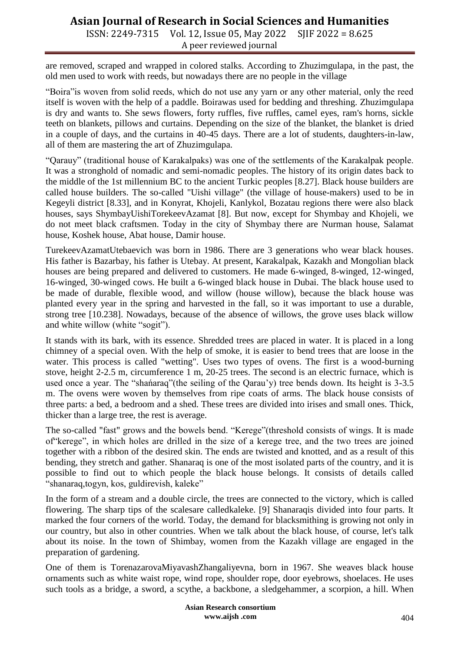ISSN: 2249-7315 Vol. 12, Issue 05, May 2022 SJIF 2022 = 8.625 A peer reviewed journal

are removed, scraped and wrapped in colored stalks. According to Zhuzimgulapa, in the past, the old men used to work with reeds, but nowadays there are no people in the village

"Boira"is woven from solid reeds, which do not use any yarn or any other material, only the reed itself is woven with the help of a paddle. Boirawas used for bedding and threshing. Zhuzimgulapa is dry and wants to. She sews flowers, forty ruffles, five ruffles, camel eyes, ram's horns, sickle teeth on blankets, pillows and curtains. Depending on the size of the blanket, the blanket is dried in a couple of days, and the curtains in 40-45 days. There are a lot of students, daughters-in-law, all of them are mastering the art of Zhuzimgulapa.

"Qarauy" (traditional house of Karakalpaks) was one of the settlements of the Karakalpak people. It was a stronghold of nomadic and semi-nomadic peoples. The history of its origin dates back to the middle of the 1st millennium BC to the ancient Turkic peoples [8.27]. Black house builders are called house builders. The so-called "Uishi village" (the village of house-makers) used to be in Kegeyli district [8.33], and in Konyrat, Khojeli, Kanlykol, Bozatau regions there were also black houses, says ShymbayUishiTorekeevAzamat [8]. But now, except for Shymbay and Khojeli, we do not meet black craftsmen. Today in the city of Shymbay there are Nurman house, Salamat house, Koshek house, Abat house, Damir house.

TurekeevAzamatUtebaevich was born in 1986. There are 3 generations who wear black houses. His father is Bazarbay, his father is Utebay. At present, Karakalpak, Kazakh and Mongolian black houses are being prepared and delivered to customers. He made 6-winged, 8-winged, 12-winged, 16-winged, 30-winged cows. He built a 6-winged black house in Dubai. The black house used to be made of durable, flexible wood, and willow (house willow), because the black house was planted every year in the spring and harvested in the fall, so it was important to use a durable, strong tree [10.238]. Nowadays, because of the absence of willows, the grove uses black willow and white willow (white "sogit").

It stands with its bark, with its essence. Shredded trees are placed in water. It is placed in a long chimney of a special oven. With the help of smoke, it is easier to bend trees that are loose in the water. This process is called "wetting". Uses two types of ovens. The first is a wood-burning stove, height 2-2.5 m, circumference 1 m, 20-25 trees. The second is an electric furnace, which is used once a year. The "shańaraq"(the seiling of the Qarau'y) tree bends down. Its height is 3-3.5 m. The ovens were woven by themselves from ripe coats of arms. The black house consists of three parts: a bed, a bedroom and a shed. These trees are divided into irises and small ones. Thick, thicker than a large tree, the rest is average.

The so-called "fast" grows and the bowels bend. "Kerege"(threshold consists of wings. It is made of"kerege", in which holes are drilled in the size of a kerege tree, and the two trees are joined together with a ribbon of the desired skin. The ends are twisted and knotted, and as a result of this bending, they stretch and gather. Shanaraq is one of the most isolated parts of the country, and it is possible to find out to which people the black house belongs. It consists of details called "shanaraq,togyn, kos, guldirevish, kaleke"

In the form of a stream and a double circle, the trees are connected to the victory, which is called flowering. The sharp tips of the scalesare calledkaleke. [9] Shanaraqis divided into four parts. It marked the four corners of the world. Today, the demand for blacksmithing is growing not only in our country, but also in other countries. When we talk about the black house, of course, let's talk about its noise. In the town of Shimbay, women from the Kazakh village are engaged in the preparation of gardening.

One of them is TorenazarovaMiyavashZhangaliyevna, born in 1967. She weaves black house ornaments such as white waist rope, wind rope, shoulder rope, door eyebrows, shoelaces. He uses such tools as a bridge, a sword, a scythe, a backbone, a sledgehammer, a scorpion, a hill. When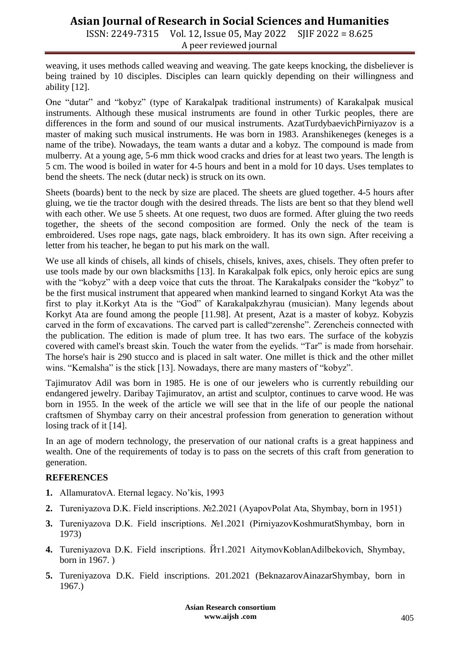ISSN: 2249-7315 Vol. 12, Issue 05, May 2022 SJIF 2022 = 8.625 A peer reviewed journal

weaving, it uses methods called weaving and weaving. The gate keeps knocking, the disbeliever is being trained by 10 disciples. Disciples can learn quickly depending on their willingness and ability [12].

One "dutar" and "kobyz" (type of Karakalpak traditional instruments) of Karakalpak musical instruments. Although these musical instruments are found in other Turkic peoples, there are differences in the form and sound of our musical instruments. AzatTurdybaevichPirniyazov is a master of making such musical instruments. He was born in 1983. Aranshikeneges (keneges is a name of the tribe). Nowadays, the team wants a dutar and a kobyz. The compound is made from mulberry. At a young age, 5-6 mm thick wood cracks and dries for at least two years. The length is 5 cm. The wood is boiled in water for 4-5 hours and bent in a mold for 10 days. Uses templates to bend the sheets. The neck (dutar neck) is struck on its own.

Sheets (boards) bent to the neck by size are placed. The sheets are glued together. 4-5 hours after gluing, we tie the tractor dough with the desired threads. The lists are bent so that they blend well with each other. We use 5 sheets. At one request, two duos are formed. After gluing the two reeds together, the sheets of the second composition are formed. Only the neck of the team is embroidered. Uses rope nags, gate nags, black embroidery. It has its own sign. After receiving a letter from his teacher, he began to put his mark on the wall.

We use all kinds of chisels, all kinds of chisels, chisels, knives, axes, chisels. They often prefer to use tools made by our own blacksmiths [13]. In Karakalpak folk epics, only heroic epics are sung with the "kobyz" with a deep voice that cuts the throat. The Karakalpaks consider the "kobyz" to be the first musical instrument that appeared when mankind learned to singand Korkyt Ata was the first to play it.Korkyt Ata is the "God" of Karakalpakzhyrau (musician). Many legends about Korkyt Ata are found among the people [11.98]. At present, Azat is a master of kobyz. Kobyzis carved in the form of excavations. The carved part is called"zerenshe". Zerencheis connected with the publication. The edition is made of plum tree. It has two ears. The surface of the kobyzis covered with camel's breast skin. Touch the water from the eyelids. "Tar" is made from horsehair. The horse's hair is 290 stucco and is placed in salt water. One millet is thick and the other millet wins. "Kemalsha" is the stick [13]. Nowadays, there are many masters of "kobyz".

Tajimuratov Adil was born in 1985. He is one of our jewelers who is currently rebuilding our endangered jewelry. Daribay Tajimuratov, an artist and sculptor, continues to carve wood. He was born in 1955. In the week of the article we will see that in the life of our people the national craftsmen of Shymbay carry on their ancestral profession from generation to generation without losing track of it [14].

In an age of modern technology, the preservation of our national crafts is a great happiness and wealth. One of the requirements of today is to pass on the secrets of this craft from generation to generation.

#### **REFERENCES**

- **1.** AllamuratovA. Eternal legacy. No'kis, 1993
- **2.** Tureniyazova D.K. Field inscriptions. №2.2021 (AyapovPolat Ata, Shymbay, born in 1951)
- **3.** Tureniyazova D.K. Field inscriptions. №1.2021 (PirniyazovKoshmuratShymbay, born in 1973)
- **4.** Tureniyazova D.K. Field inscriptions. Йт1.2021 AitymovKoblanAdilbekovich, Shymbay, born in 1967. )
- **5.** Tureniyazova D.K. Field inscriptions. 201.2021 (BeknazarovAinazarShymbay, born in 1967.)